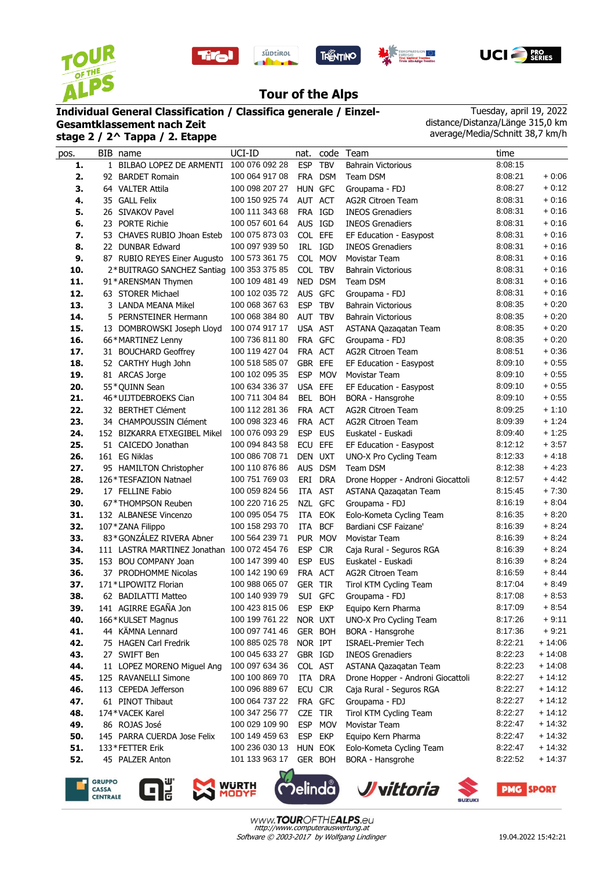









## **Tour of the Alps**

## **Individual General Classification / Classifica generale / Einzel-**

**Gesamtklassement nach Zeit stage 2 / 2^ Tappa / 2. Etappe**

Tuesday, april 19, 2022 distance/Distanza/Länge 315,0 km average/Media/Schnitt 38,7 km/h

| pos. | BIB name                                    | UCI-ID         | nat.       |            | code Team                         | time    |          |
|------|---------------------------------------------|----------------|------------|------------|-----------------------------------|---------|----------|
| 1.   | 1 BILBAO LOPEZ DE ARMENTI 100 076 092 28    |                | <b>ESP</b> | <b>TBV</b> | <b>Bahrain Victorious</b>         | 8:08:15 |          |
| 2.   | 92 BARDET Romain                            | 100 064 917 08 |            | FRA DSM    | Team DSM                          | 8:08:21 | $+0.06$  |
| 3.   | 64 VALTER Attila                            | 100 098 207 27 | HUN GFC    |            | Groupama - FDJ                    | 8:08:27 | $+0:12$  |
| 4.   | 35 GALL Felix                               | 100 150 925 74 | AUT ACT    |            | <b>AG2R Citroen Team</b>          | 8:08:31 | $+0:16$  |
| 5.   | 26 SIVAKOV Pavel                            | 100 111 343 68 | FRA IGD    |            | <b>INEOS Grenadiers</b>           | 8:08:31 | $+0:16$  |
| 6.   | 23 PORTE Richie                             | 100 057 601 64 | AUS IGD    |            | <b>INEOS Grenadiers</b>           | 8:08:31 | $+0:16$  |
| 7.   | 53 CHAVES RUBIO Jhoan Esteb                 | 100 075 873 03 | COL EFE    |            | EF Education - Easypost           | 8:08:31 | $+0.16$  |
| 8.   | 22 DUNBAR Edward                            | 100 097 939 50 | IRL IGD    |            | <b>INEOS Grenadiers</b>           | 8:08:31 | $+0:16$  |
| 9.   | 87 RUBIO REYES Einer Augusto                | 100 573 361 75 |            | COL MOV    | <b>Movistar Team</b>              | 8:08:31 | $+0:16$  |
| 10.  | 2*BUITRAGO SANCHEZ Santiag 100 353 375 85   |                | COL TBV    |            | <b>Bahrain Victorious</b>         | 8:08:31 | $+0:16$  |
| 11.  | 91*ARENSMAN Thymen                          | 100 109 481 49 |            | NED DSM    | Team DSM                          | 8:08:31 | $+0:16$  |
| 12.  | 63 STORER Michael                           | 100 102 035 72 | AUS GFC    |            | Groupama - FDJ                    | 8:08:31 | $+0:16$  |
| 13.  | 3 LANDA MEANA Mikel                         | 100 068 367 63 | ESP TBV    |            | Bahrain Victorious                | 8:08:35 | $+0:20$  |
| 14.  | 5 PERNSTEINER Hermann                       | 100 068 384 80 | AUT TBV    |            | <b>Bahrain Victorious</b>         | 8:08:35 | $+0:20$  |
| 15.  | 13 DOMBROWSKI Joseph Lloyd                  | 100 074 917 17 | USA AST    |            | ASTANA Qazaqatan Team             | 8:08:35 | $+0.20$  |
| 16.  | 66*MARTINEZ Lenny                           | 100 736 811 80 | FRA GFC    |            | Groupama - FDJ                    | 8:08:35 | $+0.20$  |
| 17.  | 31 BOUCHARD Geoffrey                        | 100 119 427 04 | FRA ACT    |            | <b>AG2R Citroen Team</b>          | 8:08:51 | $+0.36$  |
| 18.  | 52 CARTHY Hugh John                         | 100 518 585 07 | GBR EFE    |            | EF Education - Easypost           | 8:09:10 | $+0.55$  |
| 19.  | 81 ARCAS Jorge                              | 100 102 095 35 | <b>ESP</b> | <b>MOV</b> | <b>Movistar Team</b>              | 8:09:10 | $+0.55$  |
| 20.  | 55*QUINN Sean                               | 100 634 336 37 | USA EFE    |            | EF Education - Easypost           | 8:09:10 | $+0.55$  |
| 21.  | 46*UIJTDEBROEKS Cian                        | 100 711 304 84 |            | BEL BOH    | BORA - Hansgrohe                  | 8:09:10 | $+0.55$  |
| 22.  | 32 BERTHET Clément                          | 100 112 281 36 | FRA ACT    |            | <b>AG2R Citroen Team</b>          | 8:09:25 | $+1:10$  |
| 23.  | 34 CHAMPOUSSIN Clément                      | 100 098 323 46 | FRA ACT    |            | <b>AG2R Citroen Team</b>          | 8:09:39 | $+1:24$  |
| 24.  | 152 BIZKARRA ETXEGIBEL Mikel                | 100 076 093 29 | ESP EUS    |            | Euskatel - Euskadi                | 8:09:40 | $+1:25$  |
| 25.  | 51 CAICEDO Jonathan                         | 100 094 843 58 | ECU EFE    |            | EF Education - Easypost           | 8:12:12 | $+3:57$  |
| 26.  | 161 EG Niklas                               | 100 086 708 71 | DEN UXT    |            | UNO-X Pro Cycling Team            | 8:12:33 | $+4:18$  |
| 27.  | 95 HAMILTON Christopher                     | 100 110 876 86 |            | AUS DSM    | Team DSM                          | 8:12:38 | $+4.23$  |
| 28.  | 126*TESFAZION Natnael                       | 100 751 769 03 |            | ERI DRA    | Drone Hopper - Androni Giocattoli | 8:12:57 | $+4.42$  |
| 29.  | 17 FELLINE Fabio                            | 100 059 824 56 | ITA AST    |            | ASTANA Qazaqatan Team             | 8:15:45 | $+7:30$  |
| 30.  | 67*THOMPSON Reuben                          | 100 220 716 25 | NZL GFC    |            | Groupama - FDJ                    | 8:16:19 | $+8:04$  |
| 31.  | 132 ALBANESE Vincenzo                       | 100 095 054 75 |            | ITA EOK    | Eolo-Kometa Cycling Team          | 8:16:35 | $+8:20$  |
| 32.  | 107*ZANA Filippo                            | 100 158 293 70 | ITA        | <b>BCF</b> | Bardiani CSF Faizane'             | 8:16:39 | $+8:24$  |
| 33.  | 83*GONZÁLEZ RIVERA Abner                    | 100 564 239 71 |            | PUR MOV    | Movistar Team                     | 8:16:39 | $+8:24$  |
| 34.  | 111 LASTRA MARTINEZ Jonathan 100 072 454 76 |                | <b>ESP</b> | <b>CJR</b> | Caja Rural - Seguros RGA          | 8:16:39 | $+8:24$  |
| 35.  | 153 BOU COMPANY Joan                        | 100 147 399 40 | <b>ESP</b> | <b>EUS</b> | Euskatel - Euskadi                | 8:16:39 | $+8:24$  |
| 36.  | 37 PRODHOMME Nicolas                        | 100 142 190 69 | FRA ACT    |            | <b>AG2R Citroen Team</b>          | 8:16:59 | $+8.44$  |
| 37.  | 171*LIPOWITZ Florian                        | 100 988 065 07 | GER TIR    |            | Tirol KTM Cycling Team            | 8:17:04 | $+8.49$  |
| 38.  | 62 BADILATTI Matteo                         | 100 140 939 79 |            | SUI GFC    | Groupama - FDJ                    | 8:17:08 | $+8:53$  |
| 39.  | 141 AGIRRE EGAÑA Jon                        | 100 423 815 06 | ESP EKP    |            | Equipo Kern Pharma                | 8:17:09 | $+8:54$  |
| 40.  | 166*KULSET Magnus                           | 100 199 761 22 | NOR UXT    |            | UNO-X Pro Cycling Team            | 8:17:26 | $+9:11$  |
| 41.  | 44 KÄMNA Lennard                            | 100 097 741 46 |            | GER BOH    | BORA - Hansgrohe                  | 8:17:36 | $+9:21$  |
| 42.  | 75 HAGEN Carl Fredrik                       | 100 885 025 78 | NOR IPT    |            | <b>ISRAEL-Premier Tech</b>        | 8:22:21 | $+14:06$ |
| 43.  | 27 SWIFT Ben                                | 100 045 633 27 | GBR IGD    |            | <b>INEOS Grenadiers</b>           | 8:22:23 | $+14:08$ |
| 44.  | 11 LOPEZ MORENO Miguel Ang                  | 100 097 634 36 | COL AST    |            | ASTANA Qazagatan Team             | 8:22:23 | $+14:08$ |
| 45.  | 125 RAVANELLI Simone                        | 100 100 869 70 |            | ITA DRA    | Drone Hopper - Androni Giocattoli | 8:22:27 | $+14:12$ |
| 46.  | 113 CEPEDA Jefferson                        | 100 096 889 67 | ECU CJR    |            | Caja Rural - Seguros RGA          | 8:22:27 | $+14:12$ |
| 47.  | 61 PINOT Thibaut                            | 100 064 737 22 | FRA GFC    |            | Groupama - FDJ                    | 8:22:27 | $+14:12$ |
| 48.  | 174*VACEK Karel                             | 100 347 256 77 | CZE TIR    |            | Tirol KTM Cycling Team            | 8:22:27 | $+14:12$ |
| 49.  | 86 ROJAS José                               | 100 029 109 90 |            | ESP MOV    | Movistar Team                     | 8:22:47 | $+14:32$ |
| 50.  | 145 PARRA CUERDA Jose Felix                 | 100 149 459 63 | ESP EKP    |            | Equipo Kern Pharma                | 8:22:47 | $+14:32$ |
| 51.  | 133*FETTER Erik                             | 100 236 030 13 | HUN EOK    |            | Eolo-Kometa Cycling Team          | 8:22:47 | $+14:32$ |
| 52.  | 45 PALZER Anton                             | 101 133 963 17 |            | GER BOH    | BORA - Hansgrohe                  | 8:22:52 | $+14:37$ |
|      |                                             |                |            |            |                                   |         |          |











**SUZUKI**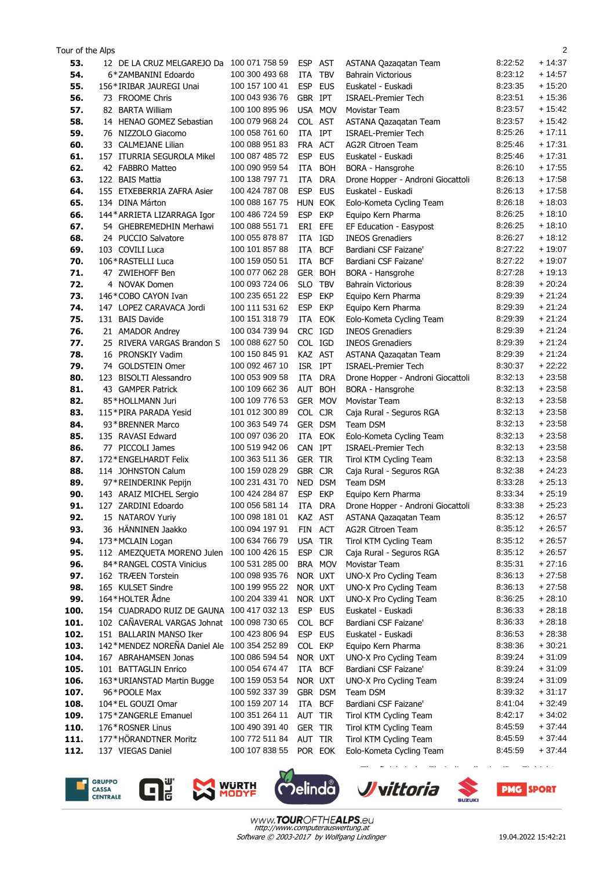| 2<br>Tour of the Alps |                                        |                                  |            |            |                                                   |                    |                      |  |  |  |  |
|-----------------------|----------------------------------------|----------------------------------|------------|------------|---------------------------------------------------|--------------------|----------------------|--|--|--|--|
| 53.                   | 12 DE LA CRUZ MELGAREJO Da             | 100 071 758 59                   | <b>ESP</b> | AST        | ASTANA Qazaqatan Team                             | 8:22:52            | $+14:37$             |  |  |  |  |
| 54.                   | 6*ZAMBANINI Edoardo                    | 100 300 493 68                   | ITA        | <b>TBV</b> | <b>Bahrain Victorious</b>                         | 8:23:12            | $+14:57$             |  |  |  |  |
| 55.                   | 156*IRIBAR JAUREGI Unai                | 100 157 100 41                   | <b>ESP</b> | <b>EUS</b> | Euskatel - Euskadi                                | 8:23:35            | $+15:20$             |  |  |  |  |
| 56.                   | 73 FROOME Chris                        | 100 043 936 76                   | GBR IPT    |            | <b>ISRAEL-Premier Tech</b>                        | 8:23:51            | $+15:36$             |  |  |  |  |
| 57.                   | 82 BARTA William                       | 100 100 895 96                   |            | USA MOV    | Movistar Team                                     | 8:23:57            | $+15:42$             |  |  |  |  |
| 58.                   | 14 HENAO GOMEZ Sebastian               | 100 079 968 24                   | COL AST    |            | ASTANA Qazaqatan Team                             | 8:23:57            | $+15:42$             |  |  |  |  |
| 59.                   | 76 NIZZOLO Giacomo                     | 100 058 761 60                   | ITA        | IPT        | <b>ISRAEL-Premier Tech</b>                        | 8:25:26            | $+17:11$             |  |  |  |  |
| 60.                   | 33 CALMEJANE Lilian                    | 100 088 951 83                   | <b>FRA</b> | <b>ACT</b> | <b>AG2R Citroen Team</b>                          | 8:25:46            | $+17:31$             |  |  |  |  |
| 61.                   | 157 ITURRIA SEGUROLA Mikel             | 100 087 485 72                   | <b>ESP</b> | <b>EUS</b> | Euskatel - Euskadi                                | 8:25:46            | $+17:31$             |  |  |  |  |
| 62.                   | 42 FABBRO Matteo                       | 100 090 959 54                   | ITA        | <b>BOH</b> | BORA - Hansgrohe                                  | 8:26:10            | $+17:55$             |  |  |  |  |
| 63.                   | 122 BAIS Mattia                        | 100 138 797 71                   | ITA        | <b>DRA</b> | Drone Hopper - Androni Giocattoli                 | 8:26:13            | $+17:58$             |  |  |  |  |
| 64.                   | 155 ETXEBERRIA ZAFRA Asier             | 100 424 787 08                   | <b>ESP</b> | <b>EUS</b> | Euskatel - Euskadi                                | 8:26:13            | $+17:58$             |  |  |  |  |
| 65.                   | 134 DINA Márton                        | 100 088 167 75                   | <b>HUN</b> | EOK        | Eolo-Kometa Cycling Team                          | 8:26:18            | $+18:03$             |  |  |  |  |
| 66.                   | 144* ARRIETA LIZARRAGA Igor            | 100 486 724 59                   | <b>ESP</b> | <b>EKP</b> | Equipo Kern Pharma                                | 8:26:25            | $+18:10$             |  |  |  |  |
| 67.                   | 54 GHEBREMEDHIN Merhawi                | 100 088 551 71                   | ERI        | EFE        | EF Education - Easypost                           | 8:26:25            | $+18:10$             |  |  |  |  |
| 68.                   | 24 PUCCIO Salvatore                    | 100 055 878 87                   | ITA        | IGD        | <b>INEOS Grenadiers</b>                           | 8:26:27            | $+18:12$             |  |  |  |  |
| 69.                   | 103 COVILI Luca                        | 100 101 857 88                   | ITA        | <b>BCF</b> | Bardiani CSF Faizane'                             | 8:27:22            | $+19:07$             |  |  |  |  |
| 70.                   | 106*RASTELLI Luca                      | 100 159 050 51                   | ITA        | <b>BCF</b> | Bardiani CSF Faizane'                             | 8:27:22            | $+19:07$             |  |  |  |  |
| 71.                   | 47 ZWIEHOFF Ben                        | 100 077 062 28                   |            | GER BOH    | BORA - Hansgrohe                                  | 8:27:28            | $+19:13$             |  |  |  |  |
| 72.                   | 4 NOVAK Domen                          | 100 093 724 06                   | <b>SLO</b> | <b>TBV</b> | <b>Bahrain Victorious</b>                         | 8:28:39            | $+20.24$             |  |  |  |  |
| 73.                   | 146 * COBO CAYON Ivan                  | 100 235 651 22                   | <b>ESP</b> | <b>EKP</b> | Equipo Kern Pharma                                | 8:29:39            | $+21:24$             |  |  |  |  |
| 74.                   | 147 LOPEZ CARAVACA Jordi               | 100 111 531 62                   | <b>ESP</b> | <b>EKP</b> | Equipo Kern Pharma                                | 8:29:39            | $+21:24$             |  |  |  |  |
| 75.                   | 131 BAIS Davide                        | 100 151 318 79                   | ITA        | EOK        | Eolo-Kometa Cycling Team                          | 8:29:39            | $+21:24$             |  |  |  |  |
| 76.                   | 21 AMADOR Andrey                       | 100 034 739 94                   | CRC IGD    |            | <b>INEOS Grenadiers</b>                           | 8:29:39            | $+21:24$             |  |  |  |  |
| 77.                   | 25 RIVERA VARGAS Brandon S             | 100 088 627 50                   | COL IGD    |            | <b>INEOS Grenadiers</b>                           | 8:29:39            | $+21:24$             |  |  |  |  |
| 78.                   | 16 PRONSKIY Vadim                      | 100 150 845 91                   | KAZ AST    |            | ASTANA Qazaqatan Team                             | 8:29:39            | $+21:24$             |  |  |  |  |
| 79.                   | 74 GOLDSTEIN Omer                      | 100 092 467 10                   | ISR IPT    |            | <b>ISRAEL-Premier Tech</b>                        | 8:30:37            | $+22:22$             |  |  |  |  |
| 80.                   | <b>BISOLTI Alessandro</b><br>123       | 100 053 909 58                   | ITA        | <b>DRA</b> | Drone Hopper - Androni Giocattoli                 | 8:32:13            | $+23:58$             |  |  |  |  |
| 81.                   | 43 GAMPER Patrick                      | 100 109 662 36                   | AUT        | <b>BOH</b> | BORA - Hansgrohe                                  | 8:32:13            | $+23:58$             |  |  |  |  |
| 82.                   | 85*HOLLMANN Juri                       | 100 109 776 53                   |            | GER MOV    | Movistar Team                                     | 8:32:13            | $+23:58$             |  |  |  |  |
| 83.                   | 115*PIRA PARADA Yesid                  | 101 012 300 89                   | COL CJR    |            | Caja Rural - Seguros RGA                          | 8:32:13            | $+23:58$             |  |  |  |  |
| 84.                   | 93 * BRENNER Marco                     | 100 363 549 74                   |            | GER DSM    | Team DSM                                          | 8:32:13            | $+23:58$             |  |  |  |  |
| 85.                   | 135 RAVASI Edward                      | 100 097 036 20                   | ITA        | EOK        | Eolo-Kometa Cycling Team                          | 8:32:13            | $+23:58$             |  |  |  |  |
| 86.                   | 77 PICCOLI James                       | 100 519 942 06                   | CAN IPT    |            | <b>ISRAEL-Premier Tech</b>                        | 8:32:13            | $+23:58$             |  |  |  |  |
| 87.                   | 172*ENGELHARDT Felix                   | 100 363 511 36                   | GER TIR    |            | Tirol KTM Cycling Team                            | 8:32:13            | $+23:58$             |  |  |  |  |
| 88.                   | 114 JOHNSTON Calum                     | 100 159 028 29                   | GBR CJR    |            | Caja Rural - Seguros RGA                          | 8:32:38            | $+24:23$             |  |  |  |  |
| 89.                   | 97*REINDERINK Pepijn                   | 100 231 431 70                   |            | NED DSM    | Team DSM                                          | 8:33:28            | $+25:13$             |  |  |  |  |
| 90.                   | 143 ARAIZ MICHEL Sergio                | 100 424 284 87                   | <b>ESP</b> | <b>EKP</b> | Equipo Kern Pharma                                | 8:33:34            | $+25:19$             |  |  |  |  |
| 91.                   | 127 ZARDINI Edoardo                    | 100 056 581 14                   | ITA        | <b>DRA</b> | Drone Hopper - Androni Giocattoli                 | 8:33:38            | $+25:23$<br>$+26.57$ |  |  |  |  |
| 92.                   | 15 NATAROV Yuriy<br>36 HÄNNINEN Jaakko | 100 098 181 01                   |            | KAZ AST    | ASTANA Qazaqatan Team<br><b>AG2R Citroen Team</b> | 8:35:12<br>8:35:12 | $+26.57$             |  |  |  |  |
| 93.<br>94.            | 173*MCLAIN Logan                       | 100 094 197 91<br>100 634 766 79 | USA TIR    | FIN ACT    | Tirol KTM Cycling Team                            | 8:35:12            | $+26:57$             |  |  |  |  |
| 95.                   | 112 AMEZQUETA MORENO Julen             | 100 100 426 15                   | ESP CJR    |            | Caja Rural - Seguros RGA                          | 8:35:12            | $+26:57$             |  |  |  |  |
| 96.                   | 84*RANGEL COSTA Vinicius               | 100 531 285 00                   |            | BRA MOV    | Movistar Team                                     | 8:35:31            | $+27:16$             |  |  |  |  |
| 97.                   | 162 TRÆEN Torstein                     | 100 098 935 76                   | NOR UXT    |            | UNO-X Pro Cycling Team                            | 8:36:13            | $+27:58$             |  |  |  |  |
| 98.                   | 165 KULSET Sindre                      | 100 199 955 22                   | NOR UXT    |            | UNO-X Pro Cycling Team                            | 8:36:13            | $+27:58$             |  |  |  |  |
| 99.                   | 164*HOLTER Ådne                        | 100 204 339 41                   |            | NOR UXT    | UNO-X Pro Cycling Team                            | 8:36:25            | $+28:10$             |  |  |  |  |
| 100.                  | 154 CUADRADO RUIZ DE GAUNA             | 100 417 032 13                   |            | ESP EUS    | Euskatel - Euskadi                                | 8:36:33            | $+28:18$             |  |  |  |  |
| 101.                  | 102 CAÑAVERAL VARGAS Johnat            | 100 098 730 65                   | COL BCF    |            | Bardiani CSF Faizane'                             | 8:36:33            | $+28:18$             |  |  |  |  |
| 102.                  | 151 BALLARIN MANSO Iker                | 100 423 806 94                   |            | ESP EUS    | Euskatel - Euskadi                                | 8:36:53            | $+28:38$             |  |  |  |  |
| 103.                  | 142*MENDEZ NOREÑA Daniel Ale           | 100 354 252 89                   | COL EKP    |            | Equipo Kern Pharma                                | 8:38:36            | $+30:21$             |  |  |  |  |
| 104.                  | 167 ABRAHAMSEN Jonas                   | 100 086 594 54                   | NOR UXT    |            | UNO-X Pro Cycling Team                            | 8:39:24            | $+31:09$             |  |  |  |  |
| 105.                  | 101 BATTAGLIN Enrico                   | 100 054 674 47                   |            | ITA BCF    | Bardiani CSF Faizane'                             | 8:39:24            | $+31:09$             |  |  |  |  |
| 106.                  | 163*URIANSTAD Martin Bugge             | 100 159 053 54                   | NOR UXT    |            | UNO-X Pro Cycling Team                            | 8:39:24            | $+31:09$             |  |  |  |  |
| 107.                  | 96*POOLE Max                           | 100 592 337 39                   |            | GBR DSM    | Team DSM                                          | 8:39:32            | $+31:17$             |  |  |  |  |
| 108.                  | 104 * EL GOUZI Omar                    | 100 159 207 14                   |            | ITA BCF    | Bardiani CSF Faizane'                             | 8:41:04            | $+32:49$             |  |  |  |  |
| 109.                  | 175*ZANGERLE Emanuel                   | 100 351 264 11                   | AUT TIR    |            | Tirol KTM Cycling Team                            | 8:42:17            | $+34:02$             |  |  |  |  |
| 110.                  | 176*ROSNER Linus                       | 100 490 391 40                   | GER TIR    |            | Tirol KTM Cycling Team                            | 8:45:59            | $+37:44$             |  |  |  |  |
| 111.                  | 177*HÖRANDTNER Moritz                  | 100 772 511 84                   | AUT TIR    |            | Tirol KTM Cycling Team                            | 8:45:59            | $+37:44$             |  |  |  |  |
| 112.                  | 137 VIEGAS Daniel                      | 100 107 838 55                   |            | POR EOK    | Eolo-Kometa Cycling Team                          | 8:45:59            | $+37:44$             |  |  |  |  |
|                       |                                        |                                  |            |            |                                                   |                    |                      |  |  |  |  |











**SUZUKI** 

Software © 2003-2017 by Wolfgang Lindinger http://www.computerauswertung.at